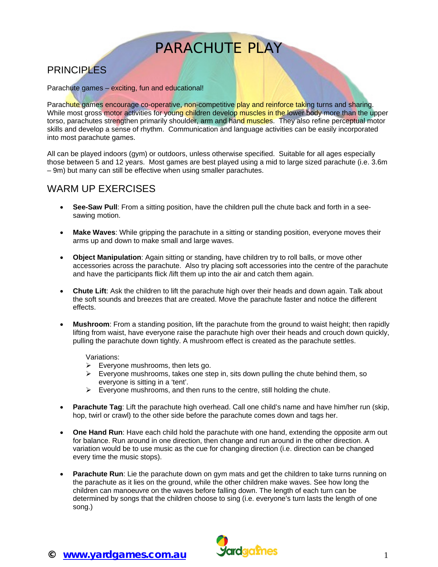# PARACHUTE PLAY

# **PRINCIPLES**

Parachute games – exciting, fun and educational!

Parachute games encourage co-operative, non-competitive play and reinforce taking turns and sharing. While most gross motor activities for young children develop muscles in the lower body more than the upper torso, parachutes strengthen primarily shoulder, arm and hand muscles. They also refine perceptual motor skills and develop a sense of rhythm. Communication and language activities can be easily incorporated into most parachute games.

All can be played indoors (gym) or outdoors, unless otherwise specified. Suitable for all ages especially those between 5 and 12 years. Most games are best played using a mid to large sized parachute (i.e. 3.6m – 9m) but many can still be effective when using smaller parachutes.

### WARM UP EXERCISES

- **See-Saw Pull**: From a sitting position, have the children pull the chute back and forth in a seesawing motion.
- **Make Waves**: While gripping the parachute in a sitting or standing position, everyone moves their arms up and down to make small and large waves.
- **Object Manipulation**: Again sitting or standing, have children try to roll balls, or move other accessories across the parachute. Also try placing soft accessories into the centre of the parachute and have the participants flick /lift them up into the air and catch them again.
- **Chute Lift**: Ask the children to lift the parachute high over their heads and down again. Talk about the soft sounds and breezes that are created. Move the parachute faster and notice the different effects.
- **Mushroom**: From a standing position, lift the parachute from the ground to waist height; then rapidly lifting from waist, have everyone raise the parachute high over their heads and crouch down quickly, pulling the parachute down tightly. A mushroom effect is created as the parachute settles.

Variations:

- $\triangleright$  Everyone mushrooms, then lets go.
- $\triangleright$  Everyone mushrooms, takes one step in, sits down pulling the chute behind them, so everyone is sitting in a 'tent'.
- $\triangleright$  Everyone mushrooms, and then runs to the centre, still holding the chute.
- **Parachute Tag**: Lift the parachute high overhead. Call one child's name and have him/her run (skip, hop, twirl or crawl) to the other side before the parachute comes down and tags her.
- **One Hand Run**: Have each child hold the parachute with one hand, extending the opposite arm out for balance. Run around in one direction, then change and run around in the other direction. A variation would be to use music as the cue for changing direction (i.e. direction can be changed every time the music stops).
- **Parachute Run**: Lie the parachute down on gym mats and get the children to take turns running on the parachute as it lies on the ground, while the other children make waves. See how long the children can manoeuvre on the waves before falling down. The length of each turn can be determined by songs that the children choose to sing (i.e. everyone's turn lasts the length of one song.)

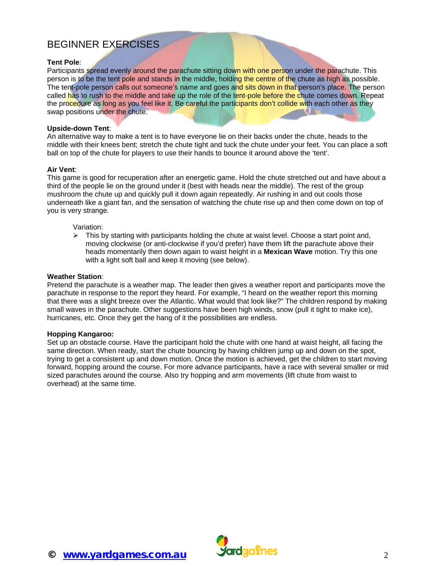# BEGINNER EXERCISES

#### **Tent Pole**:

Participants spread evenly around the parachute sitting down with one person under the parachute. This person is to be the tent pole and stands in the middle, holding the centre of the chute as high as possible. The tent-pole person calls out someone's name and goes and sits down in that person's place. The person called has to rush to the middle and take up the role of the tent-pole before the chute comes down. Repeat the procedure as long as you feel like it. Be careful the participants don't collide with each other as they swap positions under the chute.

#### **Upside-down Tent**:

An alternative way to make a tent is to have everyone lie on their backs under the chute, heads to the middle with their knees bent; stretch the chute tight and tuck the chute under your feet. You can place a soft ball on top of the chute for players to use their hands to bounce it around above the 'tent'.

#### **Air Vent**:

This game is good for recuperation after an energetic game. Hold the chute stretched out and have about a third of the people lie on the ground under it (best with heads near the middle). The rest of the group mushroom the chute up and quickly pull it down again repeatedly. Air rushing in and out cools those underneath like a giant fan, and the sensation of watching the chute rise up and then come down on top of you is very strange.

#### Variation:

 $\triangleright$  This by starting with participants holding the chute at waist level. Choose a start point and, moving clockwise (or anti-clockwise if you'd prefer) have them lift the parachute above their heads momentarily then down again to waist height in a **Mexican Wave** motion. Try this one with a light soft ball and keep it moving (see below).

#### **Weather Station**:

Pretend the parachute is a weather map. The leader then gives a weather report and participants move the parachute in response to the report they heard. For example, "I heard on the weather report this morning that there was a slight breeze over the Atlantic. What would that look like?" The children respond by making small waves in the parachute. Other suggestions have been high winds, snow (pull it tight to make ice), hurricanes, etc. Once they get the hang of it the possibilities are endless.

#### **Hopping Kangaroo:**

Set up an obstacle course. Have the participant hold the chute with one hand at waist height, all facing the same direction. When ready, start the chute bouncing by having children jump up and down on the spot, trying to get a consistent up and down motion. Once the motion is achieved, get the children to start moving forward, hopping around the course. For more advance participants, have a race with several smaller or mid sized parachutes around the course. Also try hopping and arm movements (lift chute from waist to overhead) at the same time.

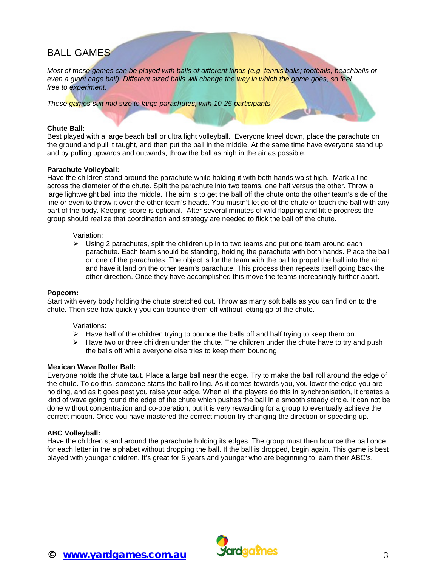# BALL GAMES

*Most of these games can be played with balls of different kinds (e.g. tennis balls; footballs; beachballs or* even a giant cage ball). Different sized balls will change the way in which the game goes, so feel *free to experiment.* 

*These games suit mid size to large parachutes, with 10-25 participants*

#### **Chute Ball:**

Best played with a large beach ball or ultra light volleyball. Everyone kneel down, place the parachute on the ground and pull it taught, and then put the ball in the middle. At the same time have everyone stand up and by pulling upwards and outwards, throw the ball as high in the air as possible.

#### **Parachute Volleyball:**

Have the children stand around the parachute while holding it with both hands waist high. Mark a line across the diameter of the chute. Split the parachute into two teams, one half versus the other. Throw a large lightweight ball into the middle. The aim is to get the ball off the chute onto the other team's side of the line or even to throw it over the other team's heads. You mustn't let go of the chute or touch the ball with any part of the body. Keeping score is optional. After several minutes of wild flapping and little progress the group should realize that coordination and strategy are needed to flick the ball off the chute.

#### Variation:

 $\triangleright$  Using 2 parachutes, split the children up in to two teams and put one team around each parachute. Each team should be standing, holding the parachute with both hands. Place the ball on one of the parachutes. The object is for the team with the ball to propel the ball into the air and have it land on the other team's parachute. This process then repeats itself going back the other direction. Once they have accomplished this move the teams increasingly further apart.

#### **Popcorn:**

Start with every body holding the chute stretched out. Throw as many soft balls as you can find on to the chute. Then see how quickly you can bounce them off without letting go of the chute.

#### Variations:

- $\blacktriangleright$  Have half of the children trying to bounce the balls off and half trying to keep them on.
- $\triangleright$  Have two or three children under the chute. The children under the chute have to try and push the balls off while everyone else tries to keep them bouncing.

#### **Mexican Wave Roller Ball:**

Everyone holds the chute taut. Place a large ball near the edge. Try to make the ball roll around the edge of the chute. To do this, someone starts the ball rolling. As it comes towards you, you lower the edge you are holding, and as it goes past you raise your edge. When all the players do this in synchronisation, it creates a kind of wave going round the edge of the chute which pushes the ball in a smooth steady circle. It can not be done without concentration and co-operation, but it is very rewarding for a group to eventually achieve the correct motion. Once you have mastered the correct motion try changing the direction or speeding up.

#### **ABC Volleyball:**

Have the children stand around the parachute holding its edges. The group must then bounce the ball once for each letter in the alphabet without dropping the ball. If the ball is dropped, begin again. This game is best played with younger children. It's great for 5 years and younger who are beginning to learn their ABC's.

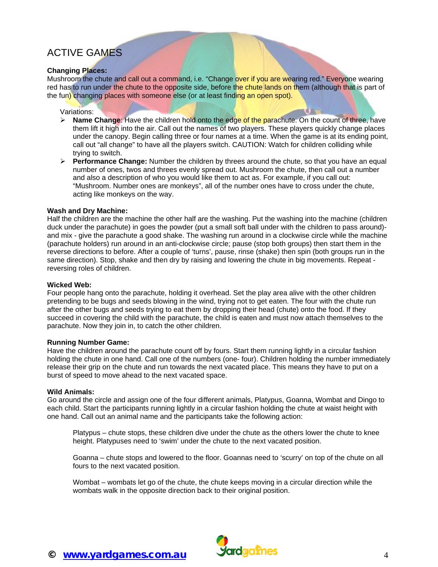# ACTIVE GAMES

#### **Changing Places:**

Mushroom the chute and call out a command, i.e. "Change over if you are wearing red." Everyone wearing red has to run under the chute to the opposite side, before the chute lands on them (although that is part of the fun) changing places with someone else (or at least finding an open spot).

#### Variations:

- ¾ **Name Change**: Have the children hold onto the edge of the parachute. On the count of three, have them lift it high into the air. Call out the names of two players. These players quickly change places under the canopy. Begin calling three or four names at a time. When the game is at its ending point, call out "all change" to have all the players switch. CAUTION: Watch for children colliding while trying to switch.
- ¾ **Performance Change:** Number the children by threes around the chute, so that you have an equal number of ones, twos and threes evenly spread out. Mushroom the chute, then call out a number and also a description of who you would like them to act as. For example, if you call out: "Mushroom. Number ones are monkeys", all of the number ones have to cross under the chute, acting like monkeys on the way.

#### **Wash and Dry Machine:**

Half the children are the machine the other half are the washing. Put the washing into the machine (children duck under the parachute) in goes the powder (put a small soft ball under with the children to pass around) and mix - give the parachute a good shake. The washing run around in a clockwise circle while the machine (parachute holders) run around in an anti-clockwise circle; pause (stop both groups) then start them in the reverse directions to before. After a couple of 'turns', pause, rinse (shake) then spin (both groups run in the same direction). Stop, shake and then dry by raising and lowering the chute in big movements. Repeat reversing roles of children.

#### **Wicked Web:**

Four people hang onto the parachute, holding it overhead. Set the play area alive with the other children pretending to be bugs and seeds blowing in the wind, trying not to get eaten. The four with the chute run after the other bugs and seeds trying to eat them by dropping their head (chute) onto the food. If they succeed in covering the child with the parachute, the child is eaten and must now attach themselves to the parachute. Now they join in, to catch the other children.

#### **Running Number Game:**

Have the children around the parachute count off by fours. Start them running lightly in a circular fashion holding the chute in one hand. Call one of the numbers (one- four). Children holding the number immediately release their grip on the chute and run towards the next vacated place. This means they have to put on a burst of speed to move ahead to the next vacated space.

#### **Wild Animals:**

Go around the circle and assign one of the four different animals, Platypus, Goanna, Wombat and Dingo to each child. Start the participants running lightly in a circular fashion holding the chute at waist height with one hand. Call out an animal name and the participants take the following action:

Platypus – chute stops, these children dive under the chute as the others lower the chute to knee height. Platypuses need to 'swim' under the chute to the next vacated position.

Goanna – chute stops and lowered to the floor. Goannas need to 'scurry' on top of the chute on all fours to the next vacated position.

Wombat – wombats let go of the chute, the chute keeps moving in a circular direction while the wombats walk in the opposite direction back to their original position.

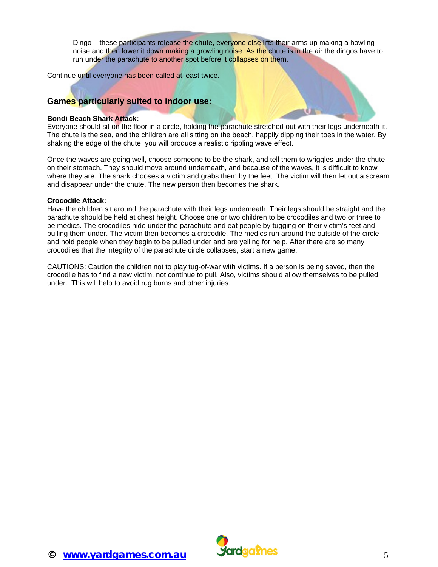Dingo – these participants release the chute, everyone else lifts their arms up making a howling noise and then lower it down making a growling noise. As the chute is in the air the dingos have to run under the parachute to another spot before it collapses on them.

Continue until everyone has been called at least twice.

#### **Games particularly suited to indoor use:**

#### **Bondi Beach Shark Attack:**

Everyone should sit on the floor in a circle, holding the parachute stretched out with their legs underneath it. The chute is the sea, and the children are all sitting on the beach, happily dipping their toes in the water. By shaking the edge of the chute, you will produce a realistic rippling wave effect.

Once the waves are going well, choose someone to be the shark, and tell them to wriggles under the chute on their stomach. They should move around underneath, and because of the waves, it is difficult to know where they are. The shark chooses a victim and grabs them by the feet. The victim will then let out a scream and disappear under the chute. The new person then becomes the shark.

#### **Crocodile Attack:**

Have the children sit around the parachute with their legs underneath. Their legs should be straight and the parachute should be held at chest height. Choose one or two children to be crocodiles and two or three to be medics. The crocodiles hide under the parachute and eat people by tugging on their victim's feet and pulling them under. The victim then becomes a crocodile. The medics run around the outside of the circle and hold people when they begin to be pulled under and are yelling for help. After there are so many crocodiles that the integrity of the parachute circle collapses, start a new game.

CAUTIONS: Caution the children not to play tug-of-war with victims. If a person is being saved, then the crocodile has to find a new victim, not continue to pull. Also, victims should allow themselves to be pulled under. This will help to avoid rug burns and other injuries.